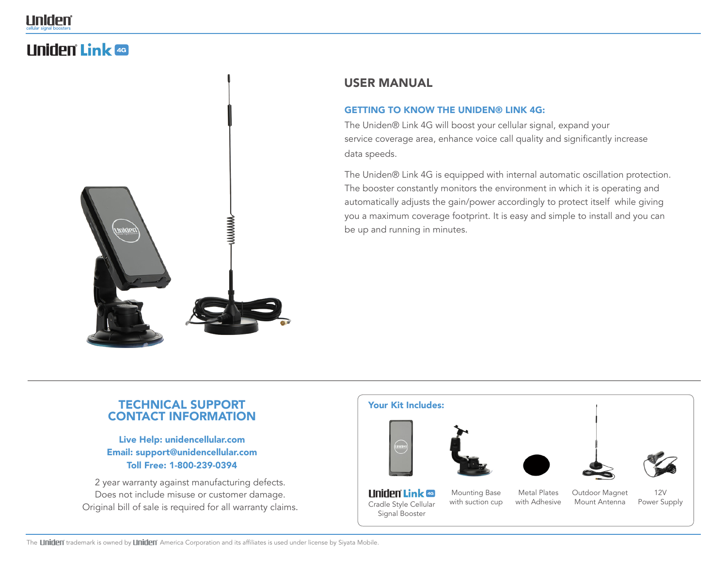# **Liniden Link 49**



# USER MANUAL

#### **GETTING TO KNOW THE UNIDEN® LINK 4G:**

The Uniden® Link 4G will boost your cellular signal, expand your service coverage area, enhance voice call quality and significantly increase data speeds.

The Uniden® Link 4G is equipped with internal automatic oscillation protection. The booster constantly monitors the environment in which it is operating and automatically adjusts the gain/power accordingly to protect itself while giving you a maximum coverage footprint. It is easy and simple to install and you can be up and running in minutes.

# TECHNICAL SUPPORT CONTACT INFORMATION

Live Help: unidencellular.com Email: support@unidencellular.com Toll Free: 1-800-239-0394

2 year warranty against manufacturing defects. Does not include misuse or customer damage. Original bill of sale is required for all warranty claims.